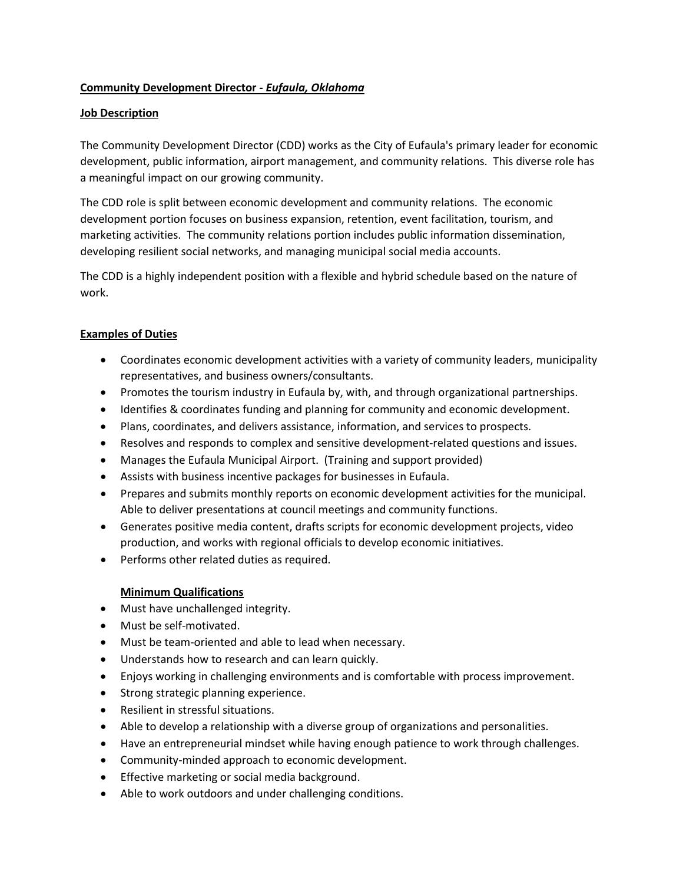# **Community Development Director -** *Eufaula, Oklahoma*

### **Job Description**

The Community Development Director (CDD) works as the City of Eufaula's primary leader for economic development, public information, airport management, and community relations. This diverse role has a meaningful impact on our growing community.

The CDD role is split between economic development and community relations. The economic development portion focuses on business expansion, retention, event facilitation, tourism, and marketing activities. The community relations portion includes public information dissemination, developing resilient social networks, and managing municipal social media accounts.

The CDD is a highly independent position with a flexible and hybrid schedule based on the nature of work.

## **Examples of Duties**

- Coordinates economic development activities with a variety of community leaders, municipality representatives, and business owners/consultants.
- Promotes the tourism industry in Eufaula by, with, and through organizational partnerships.
- Identifies & coordinates funding and planning for community and economic development.
- Plans, coordinates, and delivers assistance, information, and services to prospects.
- Resolves and responds to complex and sensitive development-related questions and issues.
- Manages the Eufaula Municipal Airport. (Training and support provided)
- Assists with business incentive packages for businesses in Eufaula.
- Prepares and submits monthly reports on economic development activities for the municipal. Able to deliver presentations at council meetings and community functions.
- Generates positive media content, drafts scripts for economic development projects, video production, and works with regional officials to develop economic initiatives.
- Performs other related duties as required.

#### **Minimum Qualifications**

- Must have unchallenged integrity.
- Must be self-motivated.
- Must be team-oriented and able to lead when necessary.
- Understands how to research and can learn quickly.
- Enjoys working in challenging environments and is comfortable with process improvement.
- Strong strategic planning experience.
- Resilient in stressful situations.
- Able to develop a relationship with a diverse group of organizations and personalities.
- Have an entrepreneurial mindset while having enough patience to work through challenges.
- Community-minded approach to economic development.
- Effective marketing or social media background.
- Able to work outdoors and under challenging conditions.